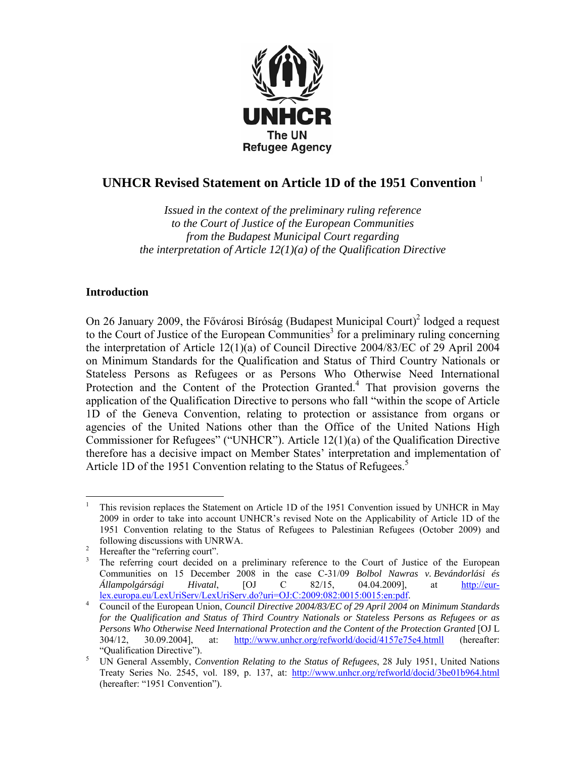

# **UNHCR Revised Statement on Article 1D of the 1951 Convention** <sup>1</sup>

*Issued in the context of the preliminary ruling reference to the Court of Justice of the European Communities from the Budapest Municipal Court regarding the interpretation of Article 12(1)(a) of the Qualification Directive* 

### **Introduction**

On 26 January 2009, the Fővárosi Bíróság (Budapest Municipal Court)<sup>2</sup> lodged a request to the Court of Justice of the European Communities<sup>3</sup> for a preliminary ruling concerning the interpretation of Article 12(1)(a) of Council Directive 2004/83/EC of 29 April 2004 on Minimum Standards for the Qualification and Status of Third Country Nationals or Stateless Persons as Refugees or as Persons Who Otherwise Need International Protection and the Content of the Protection Granted.<sup>4</sup> That provision governs the application of the Qualification Directive to persons who fall "within the scope of Article 1D of the Geneva Convention, relating to protection or assistance from organs or agencies of the United Nations other than the Office of the United Nations High Commissioner for Refugees" ("UNHCR"). Article 12(1)(a) of the Qualification Directive therefore has a decisive impact on Member States' interpretation and implementation of Article 1D of the 1951 Convention relating to the Status of Refugees.<sup>5</sup>

 $\overline{a}$ 1 This revision replaces the Statement on Article 1D of the 1951 Convention issued by UNHCR in May 2009 in order to take into account UNHCR's revised Note on the Applicability of Article 1D of the 1951 Convention relating to the Status of Refugees to Palestinian Refugees (October 2009) and following discussions with UNRWA.

Hereafter the "referring court".

<sup>3</sup> The referring court decided on a preliminary reference to the Court of Justice of the European Communities on 15 December 2008 in the case C-31/09 *Bolbol Nawras v. Bevándorlási és Állampolgársági Hivatal*, [OJ C 82/15, 04.04.2009], at http://eurlex.europa.eu/LexUriServ/LexUriServ.do?uri=OJ:C:2009:082:0015:0015:en:pdf. 4

Council of the European Union, *Council Directive 2004/83/EC of 29 April 2004 on Minimum Standards for the Qualification and Status of Third Country Nationals or Stateless Persons as Refugees or as Persons Who Otherwise Need International Protection and the Content of the Protection Granted* [OJ L 304/12, 30.09.2004], at: http://www.unhcr.org/refworld/docid/4157e75e4.htmll (hereafter: "Qualification Directive").

UN General Assembly, *Convention Relating to the Status of Refugees*, 28 July 1951, United Nations Treaty Series No. 2545, vol. 189, p. 137, at: http://www.unhcr.org/refworld/docid/3be01b964.html (hereafter: "1951 Convention").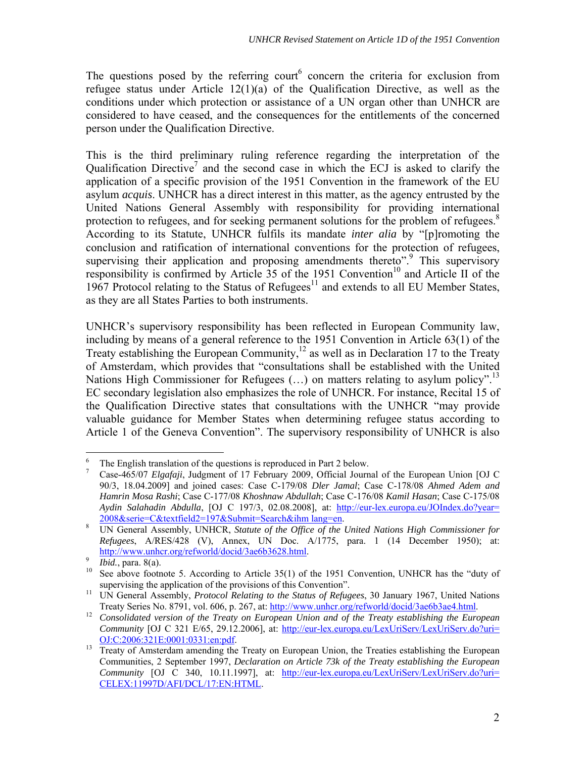The questions posed by the referring court<sup>6</sup> concern the criteria for exclusion from refugee status under Article 12(1)(a) of the Qualification Directive, as well as the conditions under which protection or assistance of a UN organ other than UNHCR are considered to have ceased, and the consequences for the entitlements of the concerned person under the Qualification Directive.

This is the third preliminary ruling reference regarding the interpretation of the Qualification Directive<sup>7</sup> and the second case in which the ECJ is asked to clarify the application of a specific provision of the 1951 Convention in the framework of the EU asylum *acquis*. UNHCR has a direct interest in this matter, as the agency entrusted by the United Nations General Assembly with responsibility for providing international protection to refugees, and for seeking permanent solutions for the problem of refugees. $8$ According to its Statute, UNHCR fulfils its mandate *inter alia* by "[p]romoting the conclusion and ratification of international conventions for the protection of refugees, supervising their application and proposing amendments thereto".<sup>9</sup> This supervisory responsibility is confirmed by Article  $\overline{35}$  of the 1951 Convention<sup>10</sup> and Article II of the 1967 Protocol relating to the Status of Refugees $^{11}$  and extends to all EU Member States, as they are all States Parties to both instruments.

UNHCR's supervisory responsibility has been reflected in European Community law, including by means of a general reference to the 1951 Convention in Article 63(1) of the Treaty establishing the European Community,<sup>12</sup> as well as in Declaration 17 to the Treaty of Amsterdam, which provides that "consultations shall be established with the United Nations High Commissioner for Refugees  $(...)$  on matters relating to asylum policy".<sup>13</sup> EC secondary legislation also emphasizes the role of UNHCR. For instance, Recital 15 of the Qualification Directive states that consultations with the UNHCR "may provide valuable guidance for Member States when determining refugee status according to Article 1 of the Geneva Convention". The supervisory responsibility of UNHCR is also

 $\overline{a}$ 6 The English translation of the questions is reproduced in Part 2 below.

<sup>7</sup> Case-465/07 *Elgafaji*, Judgment of 17 February 2009, Official Journal of the European Union [OJ C 90/3, 18.04.2009] and joined cases: Case C-179/08 *Dler Jamal*; Case C-178/08 *Ahmed Adem and Hamrin Mosa Rashi*; Case C-177/08 *Khoshnaw Abdullah*; Case C-176/08 *Kamil Hasan*; Case C-175/08 *Aydin Salahadin Abdulla*, [OJ C 197/3, 02.08.2008], at: http://eur-lex.europa.eu/JOIndex.do?year=  $\frac{2008 \& \text{series} - \& \text{textfield} 2 = 197 \& \text{Submit} - \& \text{search} \& \text{inm lange-en.}}{1 \text{IN General Assemblv, INHCP, Stattute of the Office of the o.}}$ 

UN General Assembly, UNHCR, *Statute of the Office of the United Nations High Commissioner for Refugees*, A/RES/428 (V), Annex, UN Doc. A/1775, para. 1 (14 December 1950); at:<br>http://www.unhcr.org/refworld/docid/3ae6b3628.html.

<sup>&</sup>lt;sup>9</sup> *Ibid.*, para. 8(a). <br><sup>10</sup> See above footnote 5. According to Article 35(1) of the 1951 Convention, UNHCR has the "duty of supervising the application of the provisions of this Convention".<br><sup>11</sup> UN General Assembly, *Protocol Relating to the Status of Refugees*, 30 January 1967, United Nations

Treaty Series No. 8791, vol. 606, p. 267, at: http://www.unhcr.org/refworld/docid/3ae6b3ae4.html.<br><sup>12</sup> *Consolidated version of the Treaty on European Union and of the Treaty establishing the European* 

*Community* [OJ C 321 E/65, 29.12.2006], at: http://eur-lex.europa.eu/LexUriServ/LexUriServ.do?uri=

OJ:C:2006:321E:0001:0331:en:pdf. 13 Treaty of Amsterdam amending the Treaty on European Union, the Treaties establishing the European Communities, 2 September 1997, *Declaration on Article 73k of the Treaty establishing the European Community* [OJ C 340, 10.11.1997], at: http://eur-lex.europa.eu/LexUriServ/LexUriServ.do?uri= CELEX:11997D/AFI/DCL/17:EN:HTML.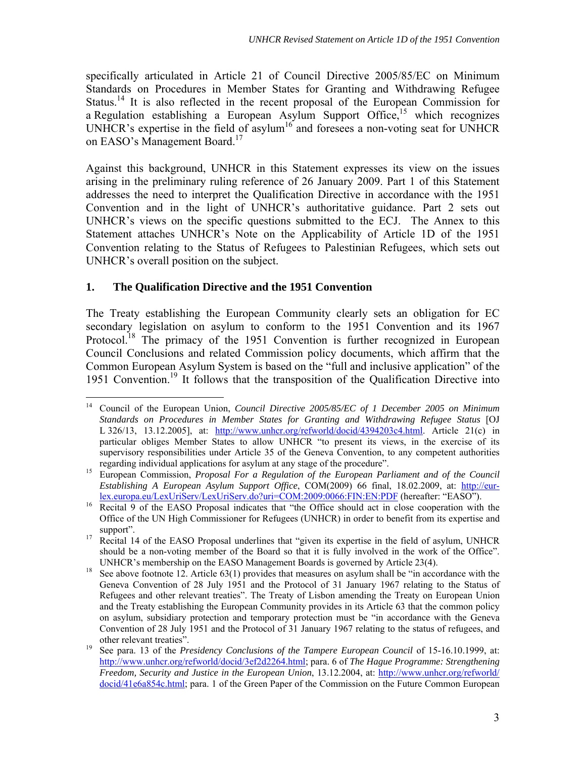specifically articulated in Article 21 of Council Directive 2005/85/EC on Minimum Standards on Procedures in Member States for Granting and Withdrawing Refugee Status.<sup>14</sup> It is also reflected in the recent proposal of the European Commission for a Regulation establishing a European Asylum Support Office,<sup>15</sup> which recognizes UNHCR's expertise in the field of asylum<sup>16</sup> and foresees a non-voting seat for UNHCR on EASO's Management Board.<sup>17</sup>

Against this background, UNHCR in this Statement expresses its view on the issues arising in the preliminary ruling reference of 26 January 2009. Part 1 of this Statement addresses the need to interpret the Qualification Directive in accordance with the 1951 Convention and in the light of UNHCR's authoritative guidance. Part 2 sets out UNHCR's views on the specific questions submitted to the ECJ. The Annex to this Statement attaches UNHCR's Note on the Applicability of Article 1D of the 1951 Convention relating to the Status of Refugees to Palestinian Refugees, which sets out UNHCR's overall position on the subject.

## **1. The Qualification Directive and the 1951 Convention**

The Treaty establishing the European Community clearly sets an obligation for EC secondary legislation on asylum to conform to the 1951 Convention and its 1967 Protocol.<sup>18</sup> The primacy of the 1951 Convention is further recognized in European Council Conclusions and related Commission policy documents, which affirm that the Common European Asylum System is based on the "full and inclusive application" of the 1951 Convention.19 It follows that the transposition of the Qualification Directive into

 $\overline{a}$ 14 Council of the European Union, *Council Directive 2005/85/EC of 1 December 2005 on Minimum Standards on Procedures in Member States for Granting and Withdrawing Refugee Status* [OJ L 326/13, 13.12.2005], at: http://www.unhcr.org/refworld/docid/4394203c4.html. Article 21(c) in particular obliges Member States to allow UNHCR "to present its views, in the exercise of its supervisory responsibilities under Article 35 of the Geneva Convention, to any competent authorities

regarding individual applications for asylum at any stage of the procedure". 15 European Commission, *Proposal For a Regulation of the European Parliament and of the Council Establishing A European Asylum Support Office*, COM(2009) 66 final, 18.02.2009, at: http://eur-<br>lex.europa.eu/LexUriServ/LexUriServ.do?uri=COM:2009:0066:FIN:EN:PDF (hereafter: "EASO").

 $\frac{16}{\text{Recital } 9}$  of the EASO Proposal indicates that "the Office should act in close cooperation with the Office of the UN High Commissioner for Refugees (UNHCR) in order to benefit from its expertise and

support".<br><sup>17</sup> Recital 14 of the EASO Proposal underlines that "given its expertise in the field of asylum, UNHCR should be a non-voting member of the Board so that it is fully involved in the work of the Office". UNHCR's membership on the EASO Management Boards is governed by Article 23(4).<br>See above footnote 12. Article 63(1) provides that measures on asylum shall be "in accordance with the

Geneva Convention of 28 July 1951 and the Protocol of 31 January 1967 relating to the Status of Refugees and other relevant treaties". The Treaty of Lisbon amending the Treaty on European Union and the Treaty establishing the European Community provides in its Article 63 that the common policy on asylum, subsidiary protection and temporary protection must be "in accordance with the Geneva Convention of 28 July 1951 and the Protocol of 31 January 1967 relating to the status of refugees, and

other relevant treaties". 19 See para. 13 of the *Presidency Conclusions of the Tampere European Council* of 15-16.10.1999, at: http://www.unhcr.org/refworld/docid/3ef2d2264.html; para. 6 of *The Hague Programme: Strengthening Freedom, Security and Justice in the European Union*, 13.12.2004, at: http://www.unhcr.org/refworld/ docid/41e6a854c.html; para. 1 of the Green Paper of the Commission on the Future Common European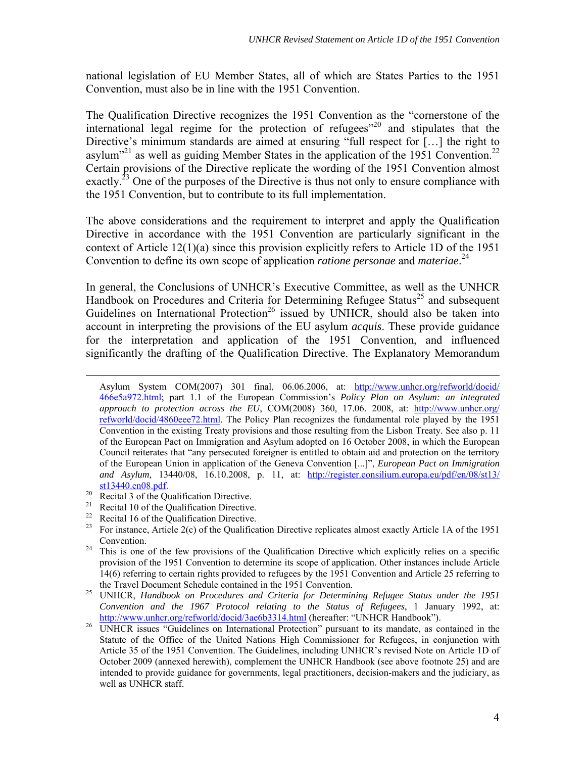national legislation of EU Member States, all of which are States Parties to the 1951 Convention, must also be in line with the 1951 Convention.

The Qualification Directive recognizes the 1951 Convention as the "cornerstone of the international legal regime for the protection of refugees $n^{20}$  and stipulates that the Directive's minimum standards are aimed at ensuring "full respect for [...] the right to asylum<sup>321</sup> as well as guiding Member States in the application of the 1951 Convention.<sup>22</sup> Certain provisions of the Directive replicate the wording of the 1951 Convention almost exactly.<sup>23</sup> One of the purposes of the Directive is thus not only to ensure compliance with the 1951 Convention, but to contribute to its full implementation.

The above considerations and the requirement to interpret and apply the Qualification Directive in accordance with the 1951 Convention are particularly significant in the context of Article 12(1)(a) since this provision explicitly refers to Article 1D of the 1951 Convention to define its own scope of application *ratione personae* and *materiae*. 24

In general, the Conclusions of UNHCR's Executive Committee, as well as the UNHCR Handbook on Procedures and Criteria for Determining Refugee Status<sup>25</sup> and subsequent Guidelines on International Protection<sup>26</sup> issued by UNHCR, should also be taken into account in interpreting the provisions of the EU asylum *acquis*. These provide guidance for the interpretation and application of the 1951 Convention, and influenced significantly the drafting of the Qualification Directive. The Explanatory Memorandum

 Asylum System COM(2007) 301 final, 06.06.2006, at: http://www.unhcr.org/refworld/docid/ 466e5a972.html; part 1.1 of the European Commission's *Policy Plan on Asylum: an integrated approach to protection across the EU*, COM(2008) 360, 17.06. 2008, at: http://www.unhcr.org/ refworld/docid/4860eee72.html. The Policy Plan recognizes the fundamental role played by the 1951 Convention in the existing Treaty provisions and those resulting from the Lisbon Treaty. See also p. 11 of the European Pact on Immigration and Asylum adopted on 16 October 2008, in which the European Council reiterates that "any persecuted foreigner is entitled to obtain aid and protection on the territory of the European Union in application of the Geneva Convention [...]", *European Pact on Immigration and Asylum*, 13440/08, 16.10.2008, p. 11, at: http://register.consilium.europa.eu/pdf/en/08/st13/

- $\frac{\text{st13440.en08.pdf}}{\text{Recital 3 of the Qualification Directive.}}$ <br><sup>21</sup> Recital 10 of the Qualification Directive.
- <sup>21</sup> Recital 10 of the Qualification Directive.<br><sup>22</sup> Pecital 16 of the Qualification Directive.
- <sup>22</sup> Recital 16 of the Qualification Directive.<br><sup>23</sup> For instance, Article 2(c) of the Qualifica
- 23 For instance, Article 2(c) of the Qualification Directive replicates almost exactly Article 1A of the 1951 Convention.<br><sup>24</sup> This is one of the few provisions of the Qualification Directive which explicitly relies on a specific

*Convention and the 1967 Protocol relating to the Status of Refugees*, 1 January 1992, at: http://www.unhcr.org/refworld/docid/3ae6b3314.html (hereafter: "UNHCR Handbook").<br><sup>26</sup> UNHCR issues "Guidelines on International Protection" pursuant to its mandate, as contained in the

provision of the 1951 Convention to determine its scope of application. Other instances include Article 14(6) referring to certain rights provided to refugees by the 1951 Convention and Article 25 referring to the Travel Document Schedule contained in the 1951 Convention. 25 UNHCR, *Handbook on Procedures and Criteria for Determining Refugee Status under the 1951* 

Statute of the Office of the United Nations High Commissioner for Refugees, in conjunction with Article 35 of the 1951 Convention. The Guidelines, including UNHCR's revised Note on Article 1D of October 2009 (annexed herewith), complement the UNHCR Handbook (see above footnote 25) and are intended to provide guidance for governments, legal practitioners, decision-makers and the judiciary, as well as UNHCR staff.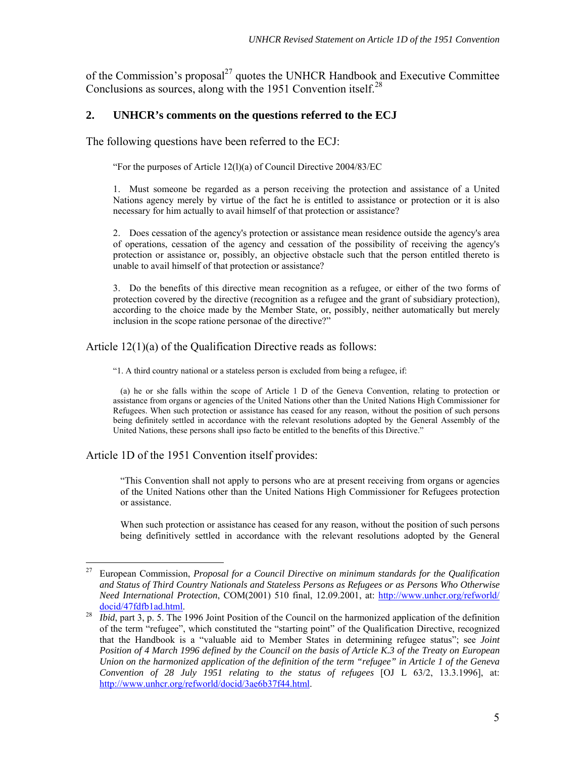of the Commission's proposal<sup>27</sup> quotes the UNHCR Handbook and Executive Committee Conclusions as sources, along with the 1951 Convention itself.<sup>28</sup>

## **2. UNHCR's comments on the questions referred to the ECJ**

The following questions have been referred to the ECJ:

"For the purposes of Article 12(l)(a) of Council Directive 2004/83/EC

1. Must someone be regarded as a person receiving the protection and assistance of a United Nations agency merely by virtue of the fact he is entitled to assistance or protection or it is also necessary for him actually to avail himself of that protection or assistance?

2. Does cessation of the agency's protection or assistance mean residence outside the agency's area of operations, cessation of the agency and cessation of the possibility of receiving the agency's protection or assistance or, possibly, an objective obstacle such that the person entitled thereto is unable to avail himself of that protection or assistance?

3. Do the benefits of this directive mean recognition as a refugee, or either of the two forms of protection covered by the directive (recognition as a refugee and the grant of subsidiary protection), according to the choice made by the Member State, or, possibly, neither automatically but merely inclusion in the scope ratione personae of the directive?"

#### Article 12(1)(a) of the Qualification Directive reads as follows:

"1. A third country national or a stateless person is excluded from being a refugee, if:

 (a) he or she falls within the scope of Article 1 D of the Geneva Convention, relating to protection or assistance from organs or agencies of the United Nations other than the United Nations High Commissioner for Refugees. When such protection or assistance has ceased for any reason, without the position of such persons being definitely settled in accordance with the relevant resolutions adopted by the General Assembly of the United Nations, these persons shall ipso facto be entitled to the benefits of this Directive."

Article 1D of the 1951 Convention itself provides:

"This Convention shall not apply to persons who are at present receiving from organs or agencies of the United Nations other than the United Nations High Commissioner for Refugees protection or assistance.

When such protection or assistance has ceased for any reason, without the position of such persons being definitively settled in accordance with the relevant resolutions adopted by the General

<sup>27</sup> 27 European Commission, *Proposal for a Council Directive on minimum standards for the Qualification and Status of Third Country Nationals and Stateless Persons as Refugees or as Persons Who Otherwise Need International Protection*, COM(2001) 510 final, 12.09.2001, at: http://www.unhcr.org/refworld/ docid/47fdfb1ad.html. 28 *Ibid*, part 3, p. 5. The 1996 Joint Position of the Council on the harmonized application of the definition

of the term "refugee", which constituted the "starting point" of the Qualification Directive, recognized that the Handbook is a "valuable aid to Member States in determining refugee status"; see *Joint Position of 4 March 1996 defined by the Council on the basis of Article K.3 of the Treaty on European Union on the harmonized application of the definition of the term "refugee" in Article 1 of the Geneva Convention of 28 July 1951 relating to the status of refugees* [OJ L 63/2, 13.3.1996], at: http://www.unhcr.org/refworld/docid/3ae6b37f44.html.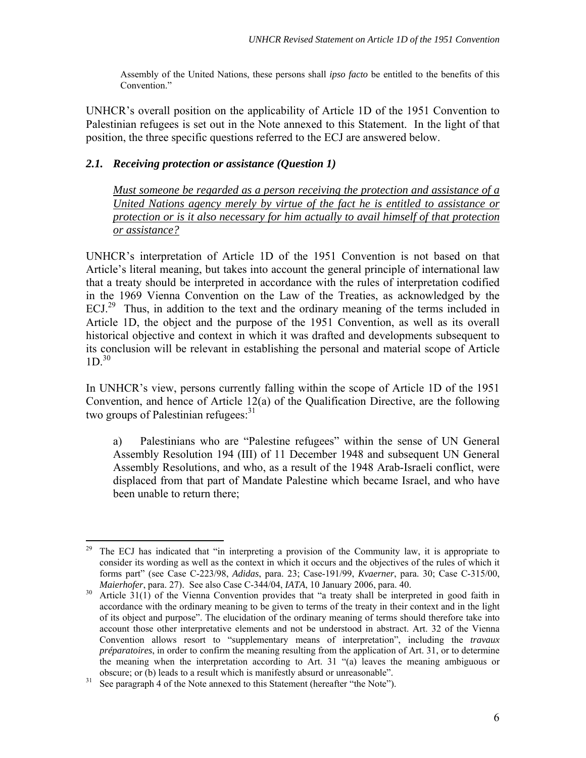Assembly of the United Nations, these persons shall *ipso facto* be entitled to the benefits of this Convention."

UNHCR's overall position on the applicability of Article 1D of the 1951 Convention to Palestinian refugees is set out in the Note annexed to this Statement. In the light of that position, the three specific questions referred to the ECJ are answered below.

## *2.1. Receiving protection or assistance (Question 1)*

*Must someone be regarded as a person receiving the protection and assistance of a United Nations agency merely by virtue of the fact he is entitled to assistance or protection or is it also necessary for him actually to avail himself of that protection or assistance?*

UNHCR's interpretation of Article 1D of the 1951 Convention is not based on that Article's literal meaning, but takes into account the general principle of international law that a treaty should be interpreted in accordance with the rules of interpretation codified in the 1969 Vienna Convention on the Law of the Treaties, as acknowledged by the  $ECJ<sup>29</sup>$  Thus, in addition to the text and the ordinary meaning of the terms included in Article 1D, the object and the purpose of the 1951 Convention, as well as its overall historical objective and context in which it was drafted and developments subsequent to its conclusion will be relevant in establishing the personal and material scope of Article  $1D^{30}$ 

In UNHCR's view, persons currently falling within the scope of Article 1D of the 1951 Convention, and hence of Article 12(a) of the Qualification Directive, are the following two groups of Palestinian refugees: $31$ 

a) Palestinians who are "Palestine refugees" within the sense of UN General Assembly Resolution 194 (III) of 11 December 1948 and subsequent UN General Assembly Resolutions, and who, as a result of the 1948 Arab-Israeli conflict, were displaced from that part of Mandate Palestine which became Israel, and who have been unable to return there;

<sup>29</sup> The ECJ has indicated that "in interpreting a provision of the Community law, it is appropriate to consider its wording as well as the context in which it occurs and the objectives of the rules of which it forms part" (see Case C-223/98, *Adidas*, para. 23; Case-191/99, *Kvaerner*, para. 30; Case C-315/00,

<sup>&</sup>lt;sup>30</sup> Article 31(1) of the Vienna Convention provides that "a treaty shall be interpreted in good faith in accordance with the ordinary meaning to be given to terms of the treaty in their context and in the light of its object and purpose". The elucidation of the ordinary meaning of terms should therefore take into account those other interpretative elements and not be understood in abstract. Art. 32 of the Vienna Convention allows resort to "supplementary means of interpretation", including the *travaux préparatoires*, in order to confirm the meaning resulting from the application of Art. 31, or to determine the meaning when the interpretation according to Art. 31 "(a) leaves the meaning ambiguous or

obscure; or (b) leads to a result which is manifestly absurd or unreasonable".<br><sup>31</sup> See paragraph 4 of the Note annexed to this Statement (hereafter "the Note").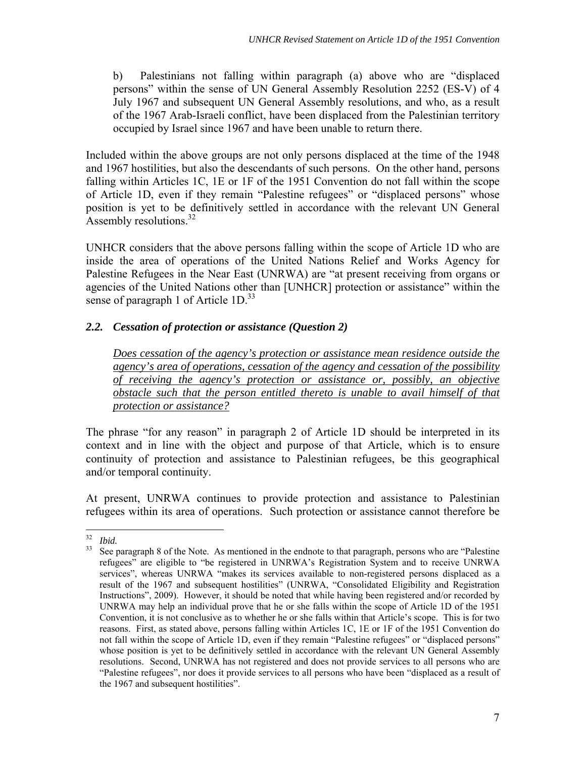b) Palestinians not falling within paragraph (a) above who are "displaced persons" within the sense of UN General Assembly Resolution 2252 (ES-V) of 4 July 1967 and subsequent UN General Assembly resolutions, and who, as a result of the 1967 Arab-Israeli conflict, have been displaced from the Palestinian territory occupied by Israel since 1967 and have been unable to return there.

Included within the above groups are not only persons displaced at the time of the 1948 and 1967 hostilities, but also the descendants of such persons. On the other hand, persons falling within Articles 1C, 1E or 1F of the 1951 Convention do not fall within the scope of Article 1D, even if they remain "Palestine refugees" or "displaced persons" whose position is yet to be definitively settled in accordance with the relevant UN General Assembly resolutions.<sup>32</sup>

UNHCR considers that the above persons falling within the scope of Article 1D who are inside the area of operations of the United Nations Relief and Works Agency for Palestine Refugees in the Near East (UNRWA) are "at present receiving from organs or agencies of the United Nations other than [UNHCR] protection or assistance" within the sense of paragraph 1 of Article 1D.<sup>33</sup>

## *2.2. Cessation of protection or assistance (Question 2)*

*Does cessation of the agency's protection or assistance mean residence outside the agency's area of operations, cessation of the agency and cessation of the possibility of receiving the agency's protection or assistance or, possibly, an objective obstacle such that the person entitled thereto is unable to avail himself of that protection or assistance?*

The phrase "for any reason" in paragraph 2 of Article 1D should be interpreted in its context and in line with the object and purpose of that Article, which is to ensure continuity of protection and assistance to Palestinian refugees, be this geographical and/or temporal continuity.

At present, UNRWA continues to provide protection and assistance to Palestinian refugees within its area of operations. Such protection or assistance cannot therefore be

 $32$ 

<sup>&</sup>lt;sup>32</sup> *Ibid.*<br><sup>33</sup> See paragraph 8 of the Note. As mentioned in the endnote to that paragraph, persons who are "Palestine" refugees" are eligible to "be registered in UNRWA's Registration System and to receive UNRWA services", whereas UNRWA "makes its services available to non-registered persons displaced as a result of the 1967 and subsequent hostilities" (UNRWA, "Consolidated Eligibility and Registration Instructions", 2009). However, it should be noted that while having been registered and/or recorded by UNRWA may help an individual prove that he or she falls within the scope of Article 1D of the 1951 Convention, it is not conclusive as to whether he or she falls within that Article's scope. This is for two reasons. First, as stated above, persons falling within Articles 1C, 1E or 1F of the 1951 Convention do not fall within the scope of Article 1D, even if they remain "Palestine refugees" or "displaced persons" whose position is yet to be definitively settled in accordance with the relevant UN General Assembly resolutions. Second, UNRWA has not registered and does not provide services to all persons who are "Palestine refugees", nor does it provide services to all persons who have been "displaced as a result of the 1967 and subsequent hostilities".